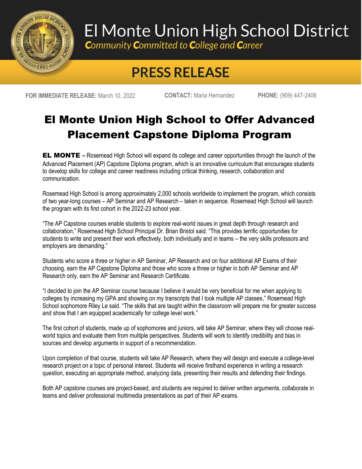

## El Monte Union High School District

**Community Committed to College and Career** 

## **PRESS RELEASE**

**FOR IMMEDIATE RELEASE:** March 10, 2022 **CONTACT:** Maria Hernandez **PHONE:** (909) 447-2406

## El Monte Union High School to Offer Advanced Placement Capstone Diploma Program

EL MONTE **–** Rosemead High School will expand its college and career opportunities through the launch of the Advanced Placement (AP) Capstone Diploma program, which is an innovative curriculum that encourages students to develop skills for college and career readiness including critical thinking, research, collaboration and communication.

Rosemead High School is among approximately 2,000 schools worldwide to implement the program, which consists of two year-long courses – AP Seminar and AP Research – taken in sequence. Rosemead High School will launch the program with its first cohort in the 2022-23 school year.

"The AP Capstone courses enable students to explore real-world issues in great depth through research and collaboration," Rosemead High School Principal Dr. Brian Bristol said. "This provides terrific opportunities for students to write and present their work effectively, both individually and in teams – the very skills professors and employers are demanding."

Students who score a three or higher in AP Seminar, AP Research and on four additional AP Exams of their choosing, earn the AP Capstone Diploma and those who score a three or higher in both AP Seminar and AP Research only, earn the AP Seminar and Research Certificate.

"I decided to join the AP Seminar course because I believe it would be very beneficial for me when applying to colleges by increasing my GPA and showing on my transcripts that I took multiple AP classes," Rosemead High School sophomore Riley Le said. "The skills that are taught within the classroom will prepare me for greater success and show that I am equipped academically for college level work."

The first cohort of students, made up of sophomores and juniors, will take AP Seminar, where they will choose realworld topics and evaluate them from multiple perspectives. Students will work to identify credibility and bias in sources and develop arguments in support of a recommendation.

Upon completion of that course, students will take AP Research, where they will design and execute a college-level research project on a topic of personal interest. Students will receive firsthand experience in writing a research question, executing an appropriate method, analyzing data, presenting their results and defending their findings.

Both AP capstone courses are project-based, and students are required to deliver written arguments, collaborate in teams and deliver professional multimedia presentations as part of their AP exams.